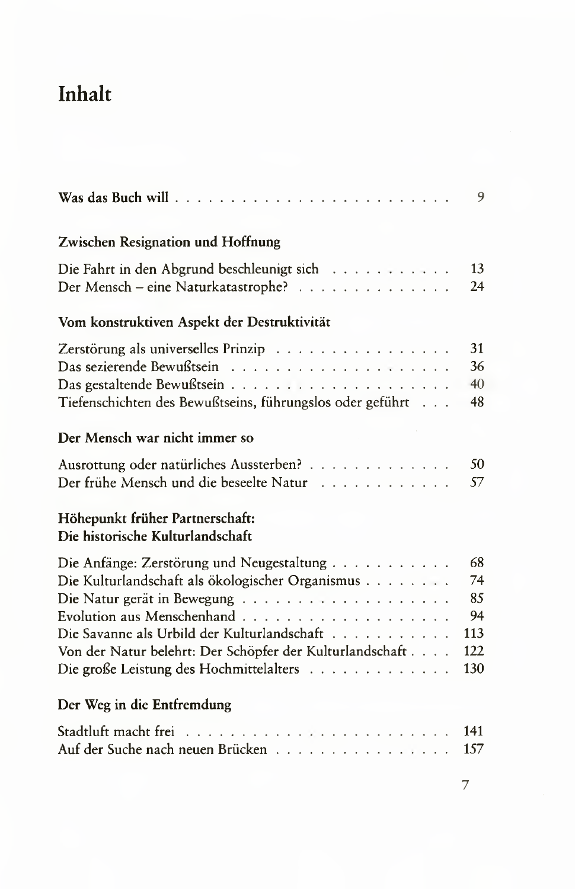## Inhalt

|                                                                                                                                                                                                                                                     | 9                                         |
|-----------------------------------------------------------------------------------------------------------------------------------------------------------------------------------------------------------------------------------------------------|-------------------------------------------|
| Zwischen Resignation und Hoffnung                                                                                                                                                                                                                   |                                           |
| Die Fahrt in den Abgrund beschleunigt sich<br>Der Mensch – eine Naturkatastrophe?                                                                                                                                                                   | 13<br>24                                  |
| Vom konstruktiven Aspekt der Destruktivität                                                                                                                                                                                                         |                                           |
| Zerstörung als universelles Prinzip<br>Tiefenschichten des Bewußtseins, führungslos oder geführt                                                                                                                                                    | 31<br>36<br>40<br>48                      |
| Der Mensch war nicht immer so                                                                                                                                                                                                                       |                                           |
| Ausrottung oder natürliches Aussterben?<br>Der frühe Mensch und die beseelte Natur                                                                                                                                                                  | 50<br>57                                  |
| Höhepunkt früher Partnerschaft:<br>Die historische Kulturlandschaft                                                                                                                                                                                 |                                           |
| Die Anfänge: Zerstörung und Neugestaltung<br>Die Kulturlandschaft als ökologischer Organismus<br>Die Savanne als Urbild der Kulturlandschaft<br>Von der Natur belehrt: Der Schöpfer der Kulturlandschaft<br>Die große Leistung des Hochmittelalters | 68<br>74<br>85<br>94<br>113<br>122<br>130 |
| Der Weg in die Entfremdung                                                                                                                                                                                                                          |                                           |
| Auf der Suche nach neuen Brücken                                                                                                                                                                                                                    | 141<br>157                                |
|                                                                                                                                                                                                                                                     | 7                                         |